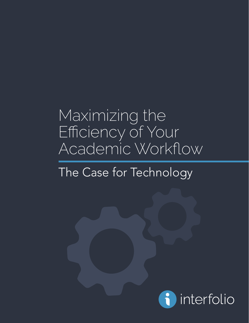### Maximizing the Efficiency of Your Academic Workflow

### The Case for Technology

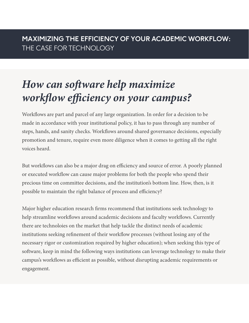### *How can software help maximize workflow efficiency on your campus?*

Workflows are part and parcel of any large organization. In order for a decision to be made in accordance with your institutional policy, it has to pass through any number of steps, hands, and sanity checks. Workflows around shared governance decisions, especially promotion and tenure, require even more diligence when it comes to getting all the right voices heard.

But workflows can also be a major drag on efficiency and source of error. A poorly planned or executed workflow can cause major problems for both the people who spend their precious time on committee decisions, and the institution's bottom line. How, then, is it possible to maintain the right balance of process and efficiency?

Major higher education research firms recommend that institutions seek technology to help streamline workflows around academic decisions and faculty workflows. Currently there are technoloies on the market that help tackle the distinct needs of academic institutions seeking refinement of their workflow processes (without losing any of the necessary rigor or customization required by higher education); when seeking this type of software, keep in mind the following ways institutions can leverage technology to make their campus's workflows as efficient as possible, without disrupting academic requirements or engagement.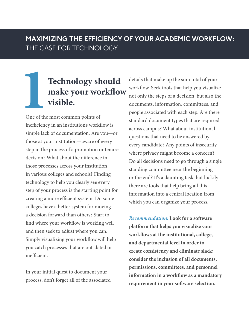# **11 Technology should<br>
make your workflow<br>
visible.**<br>
One of the most common points of **make your workflow visible.**

One of the most common points of inefficiency in an institution's workflow is simple lack of documentation. Are you—or those at your institution—aware of every step in the process of a promotion or tenure decision? What about the difference in those processes across your institution, in various colleges and schools? Finding technology to help you clearly see every step of your process is the starting point for creating a more efficient system. Do some colleges have a better system for moving a decision forward than others? Start to find where your workflow is working well and then seek to adjust where you can. Simply visualizing your workflow will help you catch processes that are out-dated or inefficient.

In your initial quest to document your process, don't forget all of the associated

details that make up the sum total of your workflow. Seek tools that help you visualize not only the steps of a decision, but also the documents, information, committees, and people associated with each step. Are there standard document types that are required across campus? What about institutional questions that need to be answered by every candidate? Any points of insecurity where privacy might become a concern? Do all decisions need to go through a single standing committee near the beginning or the end? It's a daunting task, but luckily there are tools that help bring all this information into a central location from which you can organize your process.

*Recommendation:* **Look for a software platform that helps you visualize your workflows at the institutional, college, and departmental level in order to create consistency and eliminate slack; consider the inclusion of all documents, permissions, committees, and personnel information in a workflow as a mandatory requirement in your software selection.**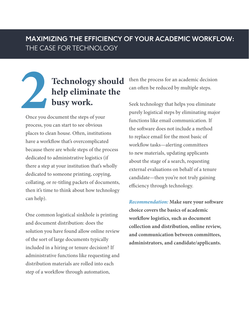# **2 Technology should help eliminate the busy work.**

Once you document the steps of your process, you can start to see obvious places to clean house. Often, institutions have a workflow that's overcomplicated because there are whole steps of the process dedicated to administrative logistics (if there a step at your institution that's wholly dedicated to someone printing, copying, collating, or re-titling packets of documents, then it's time to think about how technology can help).

One common logistical sinkhole is printing and document distribution: does the solution you have found allow online review of the sort of large documents typically included in a hiring or tenure decision? If administrative functions like requesting and distribution materials are rolled into each step of a workflow through automation,

then the process for an academic decision can often be reduced by multiple steps.

Seek technology that helps you eliminate purely logistical steps by eliminating major functions like email communication. If the software does not include a method to replace email for the most basic of workflow tasks—alerting committees to new materials, updating applicants about the stage of a search, requesting external evaluations on behalf of a tenure candidate—then you're not truly gaining efficiency through technology.

*Recommendation:* **Make sure your software choice covers the basics of academic workflow logistics, such as document collection and distribution, online review, and communication between committees, administrators, and candidate/applicants.**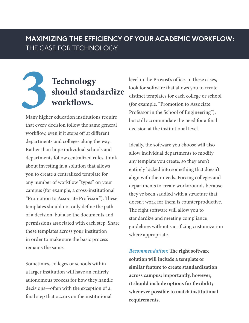# **3 3 Should stand workflows.** Many higher education institution **should standardize workflows.**

Many higher education institutions require that every decision follow the same general workflow, even if it stops off at different departments and colleges along the way. Rather than hope individual schools and departments follow centralized rules, think about investing in a solution that allows you to create a centralized template for any number of workflow "types" on your campus (for example, a cross-institutional "Promotion to Associate Professor"). These templates should not only define the path of a decision, but also the documents and permissions associated with each step. Share these templates across your institution in order to make sure the basic process remains the same.

Sometimes, colleges or schools within a larger institution will have an entirely autonomous process for how they handle decisions—often with the exception of a final step that occurs on the institutional

level in the Provost's office. In these cases, look for software that allows you to create distinct templates for each college or school (for example, "Promotion to Associate Professor in the School of Engineering"), but still accommodate the need for a final decision at the institutional level.

Ideally, the software you choose will also allow individual departments to modify any template you create, so they aren't entirely locked into something that doesn't align with their needs. Forcing colleges and departments to create workarounds because they've been saddled with a structure that doesn't work for them is counterproductive. The right software will allow you to standardize and meeting compliance guidelines without sacrificing customization where appropriate.

*Recommendation:* **The right software solution will include a template or similar feature to create standardization across campus; importantly, however, it should include options for flexibility whenever possible to match institutional requirements.**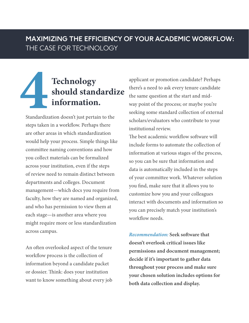# **4 4 1 1 1 1 1 1 1 1 11 11 11 11 11 11 11 11 11 11 11 11 11 11 11 11 11 11 11 11 11 11 11 11 11 11 11 11 11 11 11 11 11 11 11 11 1 should standardize information.**

Standardization doesn't just pertain to the steps taken in a workflow. Perhaps there are other areas in which standardization would help your process. Simple things like committee naming conventions and how you collect materials can be formalized across your institution, even if the steps of review need to remain distinct between departments and colleges. Document management—which docs you require from faculty, how they are named and organized, and who has permission to view them at each stage—is another area where you might require more or less standardization across campus.

An often overlooked aspect of the tenure workflow process is the collection of information beyond a candidate packet or dossier. Think: does your institution want to know something about every job

applicant or promotion candidate? Perhaps there's a need to ask every tenure candidate the same question at the start and midway point of the process; or maybe you're seeking some standard collection of external scholars/evaluators who contribute to your institutional review.

The best academic workflow software will include forms to automate the collection of information at various stages of the process, so you can be sure that information and data is automatically included in the steps of your committee work. Whatever solution you find, make sure that it allows you to customize how you and your colleagues interact with documents and information so you can precisely match your institution's workflow needs.

*Recommendation:* **Seek software that doesn't overlook critical issues like permissions and document management; decide if it's important to gather data throughout your process and make sure your chosen solution includes options for both data collection and display.**